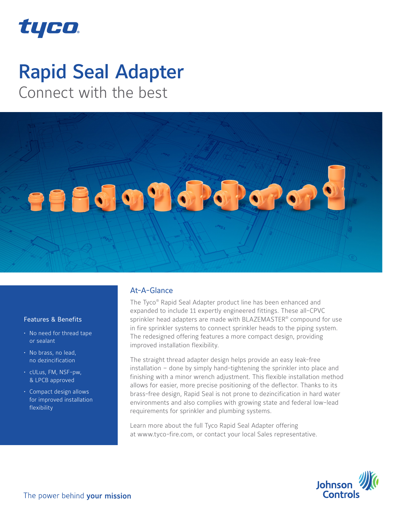

# Rapid Seal Adapter

Connect with the best



### Features & Benefits

- No need for thread tape or sealant
- No brass, no lead, no dezincification
- cULus, FM, NSF-pw, & LPCB approved
- Compact design allows for improved installation flexibility

#### At-A-Glance

The Tyco® Rapid Seal Adapter product line has been enhanced and expanded to include 11 expertly engineered fittings. These all-CPVC sprinkler head adapters are made with BLAZEMASTER® compound for use in fire sprinkler systems to connect sprinkler heads to the piping system. The redesigned offering features a more compact design, providing improved installation flexibility.

The straight thread adapter design helps provide an easy leak-free installation – done by simply hand-tightening the sprinkler into place and finishing with a minor wrench adjustment. This flexible installation method allows for easier, more precise positioning of the deflector. Thanks to its brass-free design, Rapid Seal is not prone to dezincification in hard water environments and also complies with growing state and federal low-lead requirements for sprinkler and plumbing systems.

Learn more about the full Tyco Rapid Seal Adapter offering at www.tyco-fire.com, or contact your local Sales representative.